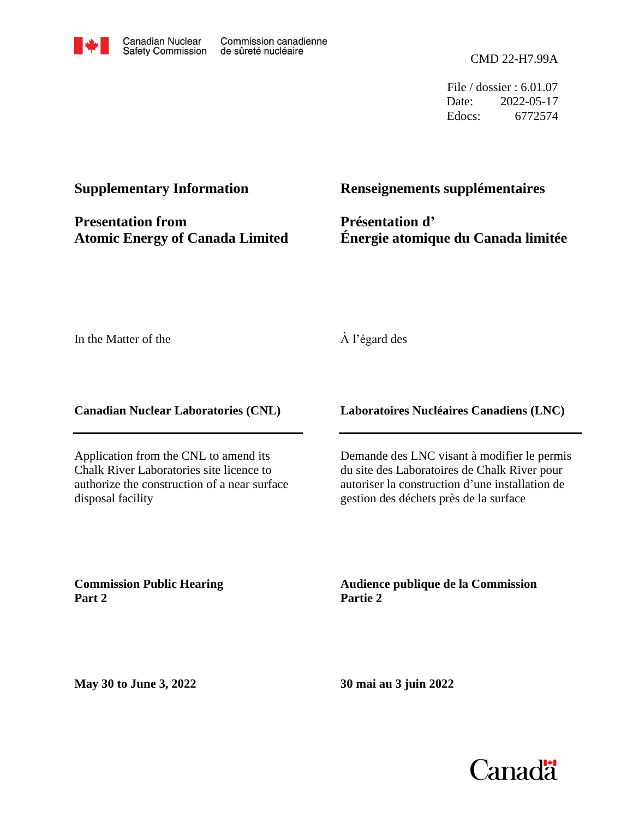

File / dossier : 6.01.07 Date: 2022-05-17 Edocs: 6772574

#### **Supplementary Information**

**Presentation from Atomic Energy of Canada Limited**

#### **Renseignements supplémentaires**

**Présentation d' Énergie atomique du Canada limitée**

In the Matter of the

#### À l'égard des

**Canadian Nuclear Laboratories (CNL)**

Application from the CNL to amend its Chalk River Laboratories site licence to authorize the construction of a near surface disposal facility

**Laboratoires Nucléaires Canadiens (LNC)**

Demande des LNC visant à modifier le permis du site des Laboratoires de Chalk River pour autoriser la construction d'une installation de gestion des déchets près de la surface

**Commission Public Hearing Part 2**

**Audience publique de la Commission Partie 2**

**May 30 to June 3, 2022**

**30 mai au 3 juin 2022**

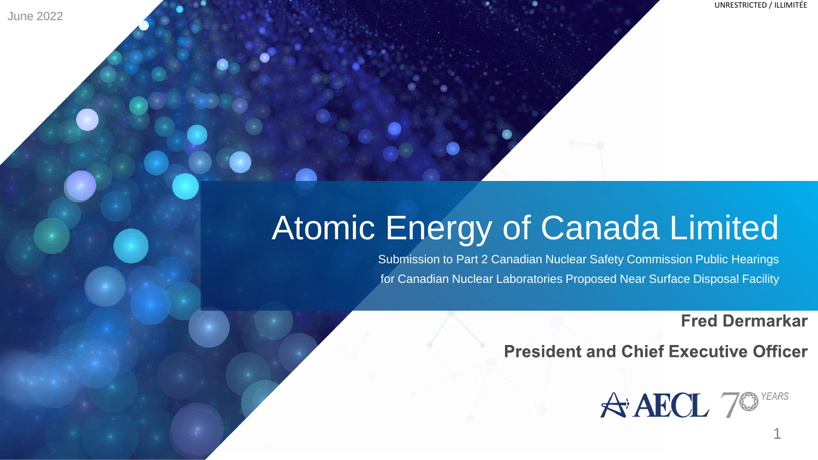June 2022

# Atomic Energy of Canada Limited

Submission to Part 2 Canadian Nuclear Safety Commission Public Hearings for Canadian Nuclear Laboratories Proposed Near Surface Disposal Facility

**Fred Dermarkar** 

**President and Chief Executive Officer** 

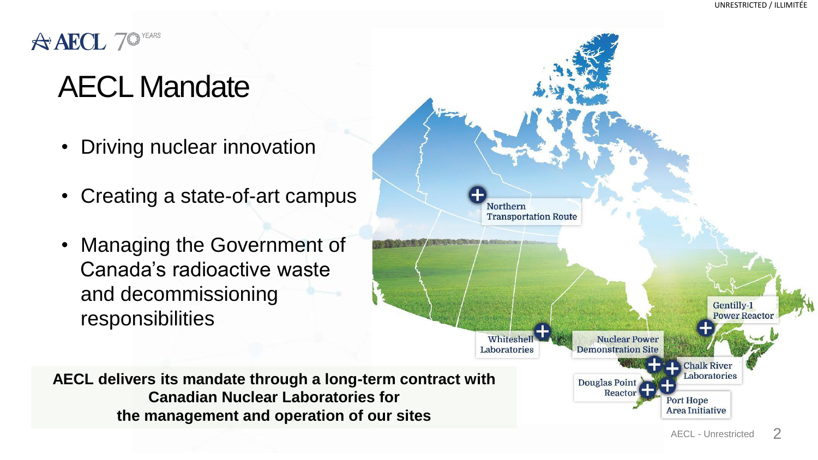

# AECL Mandate

- Driving nuclear innovation
- Creating a state-of-art campus
- Managing the Government of Canada's radioactive waste and decommissioning responsibilities



**AECL delivers its mandate through a long-term contract with Canadian Nuclear Laboratories for the management and operation of our sites**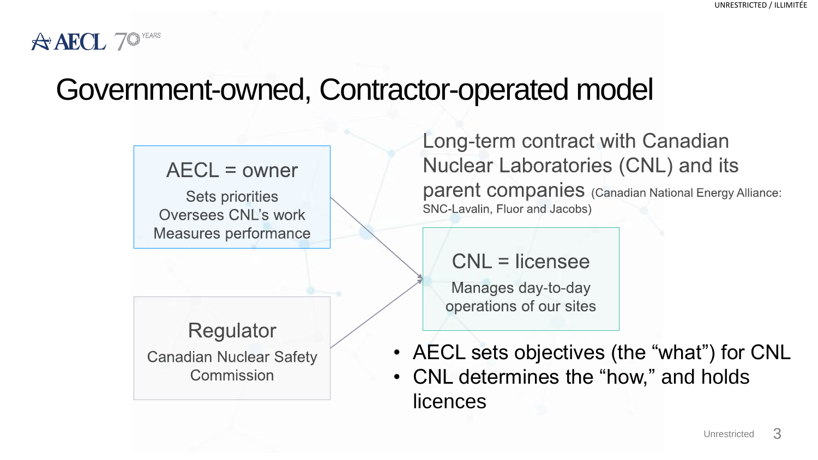#### $A$ **AECL**  $7$ <sup>o</sup>

## Government-owned, Contractor-operated model

 $AECL = owner$ 

**Sets priorities** Oversees CNL's work **Measures performance** 

Regulator **Canadian Nuclear Safety** Commission

Long-term contract with Canadian Nuclear Laboratories (CNL) and its parent companies (Canadian National Energy Alliance: SNC-Lavalin, Fluor and Jacobs)

 $CNL =$  licensee

Manages day-to-day operations of our sites

• AECL sets objectives (the "what") for CNL • CNL determines the "how," and holds licences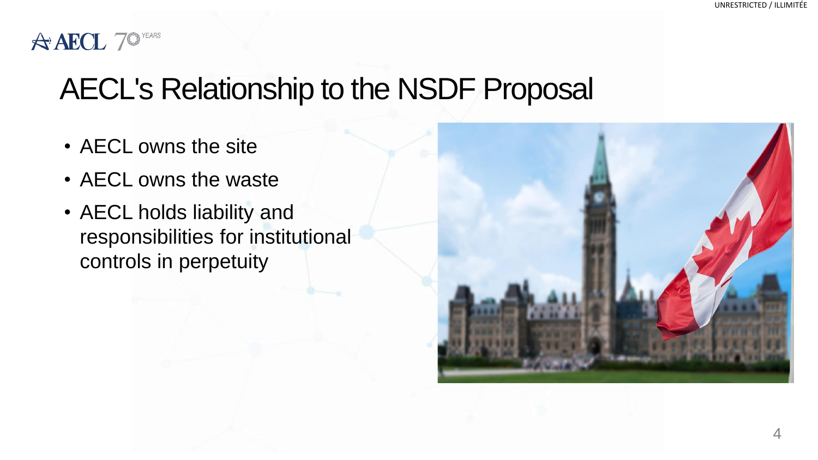#### **A AECL 70 YEARS**

# AECL's Relationship to the NSDF Proposal

- AECL owns the site
- AECL owns the waste
- AECL holds liability and responsibilities for institutional controls in perpetuity

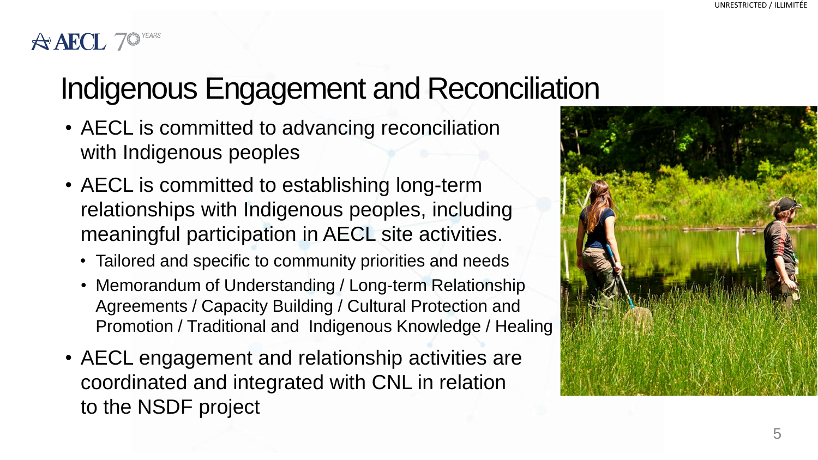#### $\triangle$  AECL 7

# Indigenous Engagement and Reconciliation

- AECL is committed to advancing reconciliation with Indigenous peoples
- AECL is committed to establishing long-term relationships with Indigenous peoples, including meaningful participation in AECL site activities.
	- Tailored and specific to community priorities and needs
	- Memorandum of Understanding / Long-term Relationship Agreements / Capacity Building / Cultural Protection and Promotion / Traditional and Indigenous Knowledge / Healing
- AECL engagement and relationship activities are coordinated and integrated with CNL in relation to the NSDF project

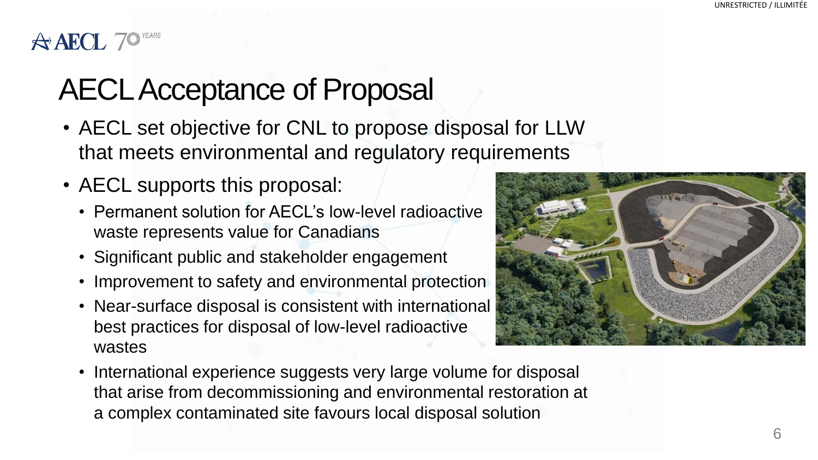### $\triangle$  AECL 7<sup>o</sup>

# AECL Acceptance of Proposal

- AECL set objective for CNL to propose disposal for LLW that meets environmental and regulatory requirements
- AECL supports this proposal:
	- Permanent solution for AECL's low-level radioactive waste represents value for Canadians
	- Significant public and stakeholder engagement
	- Improvement to safety and environmental protection
	- Near-surface disposal is consistent with international best practices for disposal of low-level radioactive wastes



• International experience suggests very large volume for disposal that arise from decommissioning and environmental restoration at a complex contaminated site favours local disposal solution